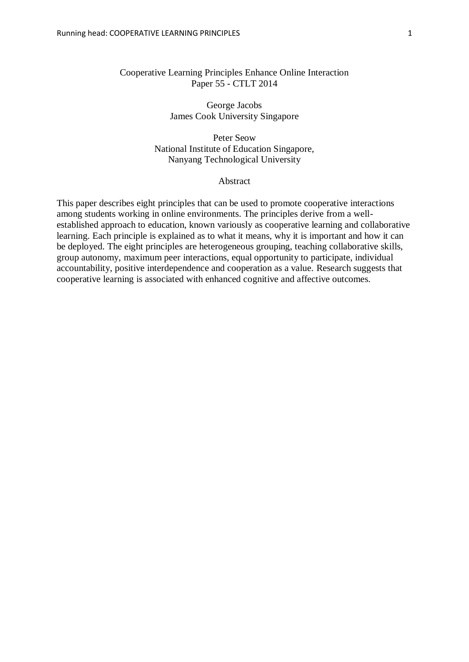## Cooperative Learning Principles Enhance Online Interaction Paper 55 - CTLT 2014

George Jacobs James Cook University Singapore

Peter Seow National Institute of Education Singapore, Nanyang Technological University

#### Abstract

This paper describes eight principles that can be used to promote cooperative interactions among students working in online environments. The principles derive from a wellestablished approach to education, known variously as cooperative learning and collaborative learning. Each principle is explained as to what it means, why it is important and how it can be deployed. The eight principles are heterogeneous grouping, teaching collaborative skills, group autonomy, maximum peer interactions, equal opportunity to participate, individual accountability, positive interdependence and cooperation as a value. Research suggests that cooperative learning is associated with enhanced cognitive and affective outcomes.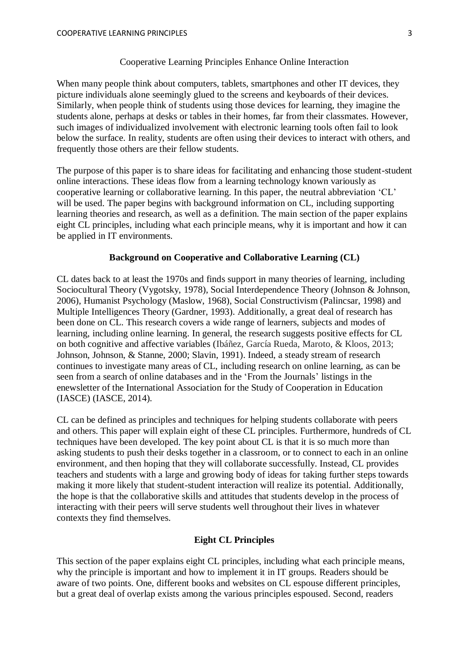#### Cooperative Learning Principles Enhance Online Interaction

When many people think about computers, tablets, smartphones and other IT devices, they picture individuals alone seemingly glued to the screens and keyboards of their devices. Similarly, when people think of students using those devices for learning, they imagine the students alone, perhaps at desks or tables in their homes, far from their classmates. However, such images of individualized involvement with electronic learning tools often fail to look below the surface. In reality, students are often using their devices to interact with others, and frequently those others are their fellow students.

The purpose of this paper is to share ideas for facilitating and enhancing those student-student online interactions. These ideas flow from a learning technology known variously as cooperative learning or collaborative learning. In this paper, the neutral abbreviation 'CL' will be used. The paper begins with background information on CL, including supporting learning theories and research, as well as a definition. The main section of the paper explains eight CL principles, including what each principle means, why it is important and how it can be applied in IT environments.

#### **Background on Cooperative and Collaborative Learning (CL)**

CL dates back to at least the 1970s and finds support in many theories of learning, including Sociocultural Theory (Vygotsky, 1978), Social Interdependence Theory (Johnson & Johnson, 2006), Humanist Psychology (Maslow, 1968), Social Constructivism (Palincsar, 1998) and Multiple Intelligences Theory (Gardner, 1993). Additionally, a great deal of research has been done on CL. This research covers a wide range of learners, subjects and modes of learning, including online learning. In general, the research suggests positive effects for CL on both cognitive and affective variables (Ibáñez, García Rueda, Maroto, & Kloos, 2013; Johnson, Johnson, & Stanne, 2000; Slavin, 1991). Indeed, a steady stream of research continues to investigate many areas of CL, including research on online learning, as can be seen from a search of online databases and in the 'From the Journals' listings in the enewsletter of the International Association for the Study of Cooperation in Education (IASCE) (IASCE, 2014).

CL can be defined as principles and techniques for helping students collaborate with peers and others. This paper will explain eight of these CL principles. Furthermore, hundreds of CL techniques have been developed. The key point about CL is that it is so much more than asking students to push their desks together in a classroom, or to connect to each in an online environment, and then hoping that they will collaborate successfully. Instead, CL provides teachers and students with a large and growing body of ideas for taking further steps towards making it more likely that student-student interaction will realize its potential. Additionally, the hope is that the collaborative skills and attitudes that students develop in the process of interacting with their peers will serve students well throughout their lives in whatever contexts they find themselves.

# **Eight CL Principles**

This section of the paper explains eight CL principles, including what each principle means, why the principle is important and how to implement it in IT groups. Readers should be aware of two points. One, different books and websites on CL espouse different principles, but a great deal of overlap exists among the various principles espoused. Second, readers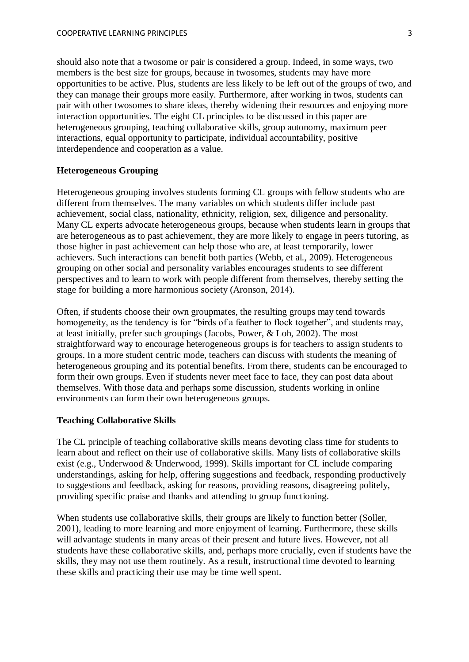should also note that a twosome or pair is considered a group. Indeed, in some ways, two members is the best size for groups, because in twosomes, students may have more opportunities to be active. Plus, students are less likely to be left out of the groups of two, and they can manage their groups more easily. Furthermore, after working in twos, students can pair with other twosomes to share ideas, thereby widening their resources and enjoying more interaction opportunities. The eight CL principles to be discussed in this paper are heterogeneous grouping, teaching collaborative skills, group autonomy, maximum peer interactions, equal opportunity to participate, individual accountability, positive interdependence and cooperation as a value.

### **Heterogeneous Grouping**

Heterogeneous grouping involves students forming CL groups with fellow students who are different from themselves. The many variables on which students differ include past achievement, social class, nationality, ethnicity, religion, sex, diligence and personality. Many CL experts advocate heterogeneous groups, because when students learn in groups that are heterogeneous as to past achievement, they are more likely to engage in peers tutoring, as those higher in past achievement can help those who are, at least temporarily, lower achievers. Such interactions can benefit both parties (Webb, et al., 2009). Heterogeneous grouping on other social and personality variables encourages students to see different perspectives and to learn to work with people different from themselves, thereby setting the stage for building a more harmonious society (Aronson, 2014).

Often, if students choose their own groupmates, the resulting groups may tend towards homogeneity, as the tendency is for "birds of a feather to flock together", and students may, at least initially, prefer such groupings (Jacobs, Power, & Loh, 2002). The most straightforward way to encourage heterogeneous groups is for teachers to assign students to groups. In a more student centric mode, teachers can discuss with students the meaning of heterogeneous grouping and its potential benefits. From there, students can be encouraged to form their own groups. Even if students never meet face to face, they can post data about themselves. With those data and perhaps some discussion, students working in online environments can form their own heterogeneous groups.

### **Teaching Collaborative Skills**

The CL principle of teaching collaborative skills means devoting class time for students to learn about and reflect on their use of collaborative skills. Many lists of collaborative skills exist (e.g., Underwood & Underwood, 1999). Skills important for CL include comparing understandings, asking for help, offering suggestions and feedback, responding productively to suggestions and feedback, asking for reasons, providing reasons, disagreeing politely, providing specific praise and thanks and attending to group functioning.

When students use collaborative skills, their groups are likely to function better (Soller, 2001), leading to more learning and more enjoyment of learning. Furthermore, these skills will advantage students in many areas of their present and future lives. However, not all students have these collaborative skills, and, perhaps more crucially, even if students have the skills, they may not use them routinely. As a result, instructional time devoted to learning these skills and practicing their use may be time well spent.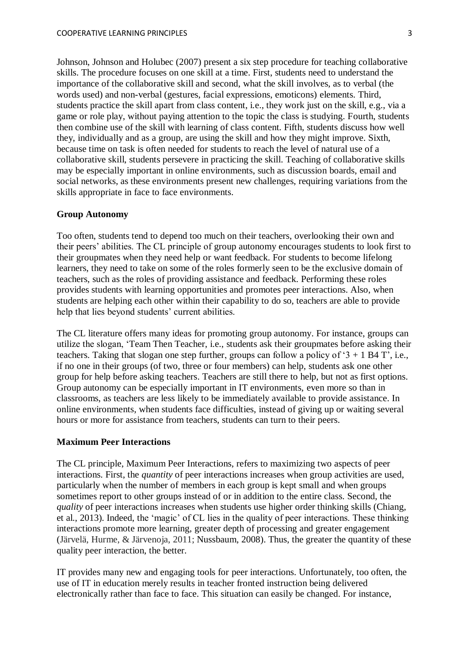Johnson, Johnson and Holubec (2007) present a six step procedure for teaching collaborative skills. The procedure focuses on one skill at a time. First, students need to understand the importance of the collaborative skill and second, what the skill involves, as to verbal (the words used) and non-verbal (gestures, facial expressions, emoticons) elements. Third, students practice the skill apart from class content, i.e., they work just on the skill, e.g., via a game or role play, without paying attention to the topic the class is studying. Fourth, students then combine use of the skill with learning of class content. Fifth, students discuss how well they, individually and as a group, are using the skill and how they might improve. Sixth, because time on task is often needed for students to reach the level of natural use of a collaborative skill, students persevere in practicing the skill. Teaching of collaborative skills may be especially important in online environments, such as discussion boards, email and social networks, as these environments present new challenges, requiring variations from the skills appropriate in face to face environments.

#### **Group Autonomy**

Too often, students tend to depend too much on their teachers, overlooking their own and their peers' abilities. The CL principle of group autonomy encourages students to look first to their groupmates when they need help or want feedback. For students to become lifelong learners, they need to take on some of the roles formerly seen to be the exclusive domain of teachers, such as the roles of providing assistance and feedback. Performing these roles provides students with learning opportunities and promotes peer interactions. Also, when students are helping each other within their capability to do so, teachers are able to provide help that lies beyond students' current abilities.

The CL literature offers many ideas for promoting group autonomy. For instance, groups can utilize the slogan, 'Team Then Teacher, i.e., students ask their groupmates before asking their teachers. Taking that slogan one step further, groups can follow a policy of  $3 + 1$  B4 T', i.e., if no one in their groups (of two, three or four members) can help, students ask one other group for help before asking teachers. Teachers are still there to help, but not as first options. Group autonomy can be especially important in IT environments, even more so than in classrooms, as teachers are less likely to be immediately available to provide assistance. In online environments, when students face difficulties, instead of giving up or waiting several hours or more for assistance from teachers, students can turn to their peers.

#### **Maximum Peer Interactions**

The CL principle, Maximum Peer Interactions, refers to maximizing two aspects of peer interactions. First, the *quantity* of peer interactions increases when group activities are used, particularly when the number of members in each group is kept small and when groups sometimes report to other groups instead of or in addition to the entire class. Second, the *quality* of peer interactions increases when students use higher order thinking skills (Chiang, et al., 2013). Indeed, the 'magic' of CL lies in the quality of peer interactions. These thinking interactions promote more learning, greater depth of processing and greater engagement (Järvelä, Hurme, & Järvenoja, 2011; Nussbaum, 2008). Thus, the greater the quantity of these quality peer interaction, the better.

IT provides many new and engaging tools for peer interactions. Unfortunately, too often, the use of IT in education merely results in teacher fronted instruction being delivered electronically rather than face to face. This situation can easily be changed. For instance,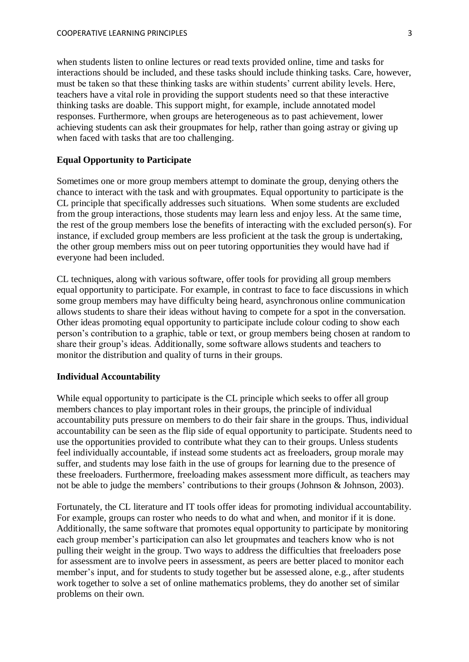when students listen to online lectures or read texts provided online, time and tasks for interactions should be included, and these tasks should include thinking tasks. Care, however, must be taken so that these thinking tasks are within students' current ability levels. Here, teachers have a vital role in providing the support students need so that these interactive thinking tasks are doable. This support might, for example, include annotated model responses. Furthermore, when groups are heterogeneous as to past achievement, lower achieving students can ask their groupmates for help, rather than going astray or giving up when faced with tasks that are too challenging.

# **Equal Opportunity to Participate**

Sometimes one or more group members attempt to dominate the group, denying others the chance to interact with the task and with groupmates. Equal opportunity to participate is the CL principle that specifically addresses such situations. When some students are excluded from the group interactions, those students may learn less and enjoy less. At the same time, the rest of the group members lose the benefits of interacting with the excluded person(s). For instance, if excluded group members are less proficient at the task the group is undertaking, the other group members miss out on peer tutoring opportunities they would have had if everyone had been included.

CL techniques, along with various software, offer tools for providing all group members equal opportunity to participate. For example, in contrast to face to face discussions in which some group members may have difficulty being heard, asynchronous online communication allows students to share their ideas without having to compete for a spot in the conversation. Other ideas promoting equal opportunity to participate include colour coding to show each person's contribution to a graphic, table or text, or group members being chosen at random to share their group's ideas. Additionally, some software allows students and teachers to monitor the distribution and quality of turns in their groups.

#### **Individual Accountability**

While equal opportunity to participate is the CL principle which seeks to offer all group members chances to play important roles in their groups, the principle of individual accountability puts pressure on members to do their fair share in the groups. Thus, individual accountability can be seen as the flip side of equal opportunity to participate. Students need to use the opportunities provided to contribute what they can to their groups. Unless students feel individually accountable, if instead some students act as freeloaders, group morale may suffer, and students may lose faith in the use of groups for learning due to the presence of these freeloaders. Furthermore, freeloading makes assessment more difficult, as teachers may not be able to judge the members' contributions to their groups (Johnson & Johnson, 2003).

Fortunately, the CL literature and IT tools offer ideas for promoting individual accountability. For example, groups can roster who needs to do what and when, and monitor if it is done. Additionally, the same software that promotes equal opportunity to participate by monitoring each group member's participation can also let groupmates and teachers know who is not pulling their weight in the group. Two ways to address the difficulties that freeloaders pose for assessment are to involve peers in assessment, as peers are better placed to monitor each member's input, and for students to study together but be assessed alone, e.g., after students work together to solve a set of online mathematics problems, they do another set of similar problems on their own.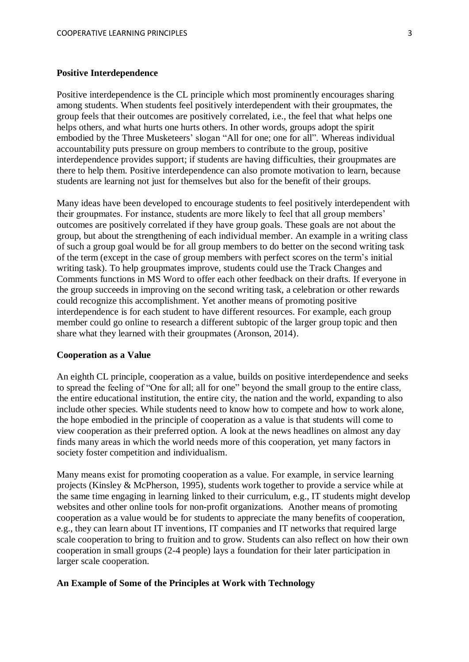### **Positive Interdependence**

Positive interdependence is the CL principle which most prominently encourages sharing among students. When students feel positively interdependent with their groupmates, the group feels that their outcomes are positively correlated, i.e., the feel that what helps one helps others, and what hurts one hurts others. In other words, groups adopt the spirit embodied by the Three Musketeers' slogan "All for one; one for all". Whereas individual accountability puts pressure on group members to contribute to the group, positive interdependence provides support; if students are having difficulties, their groupmates are there to help them. Positive interdependence can also promote motivation to learn, because students are learning not just for themselves but also for the benefit of their groups.

Many ideas have been developed to encourage students to feel positively interdependent with their groupmates. For instance, students are more likely to feel that all group members' outcomes are positively correlated if they have group goals. These goals are not about the group, but about the strengthening of each individual member. An example in a writing class of such a group goal would be for all group members to do better on the second writing task of the term (except in the case of group members with perfect scores on the term's initial writing task). To help groupmates improve, students could use the Track Changes and Comments functions in MS Word to offer each other feedback on their drafts. If everyone in the group succeeds in improving on the second writing task, a celebration or other rewards could recognize this accomplishment. Yet another means of promoting positive interdependence is for each student to have different resources. For example, each group member could go online to research a different subtopic of the larger group topic and then share what they learned with their groupmates (Aronson, 2014).

#### **Cooperation as a Value**

An eighth CL principle, cooperation as a value, builds on positive interdependence and seeks to spread the feeling of "One for all; all for one" beyond the small group to the entire class, the entire educational institution, the entire city, the nation and the world, expanding to also include other species. While students need to know how to compete and how to work alone, the hope embodied in the principle of cooperation as a value is that students will come to view cooperation as their preferred option. A look at the news headlines on almost any day finds many areas in which the world needs more of this cooperation, yet many factors in society foster competition and individualism.

Many means exist for promoting cooperation as a value. For example, in service learning projects (Kinsley & McPherson, 1995), students work together to provide a service while at the same time engaging in learning linked to their curriculum, e.g., IT students might develop websites and other online tools for non-profit organizations. Another means of promoting cooperation as a value would be for students to appreciate the many benefits of cooperation, e.g., they can learn about IT inventions, IT companies and IT networks that required large scale cooperation to bring to fruition and to grow. Students can also reflect on how their own cooperation in small groups (2-4 people) lays a foundation for their later participation in larger scale cooperation.

#### **An Example of Some of the Principles at Work with Technology**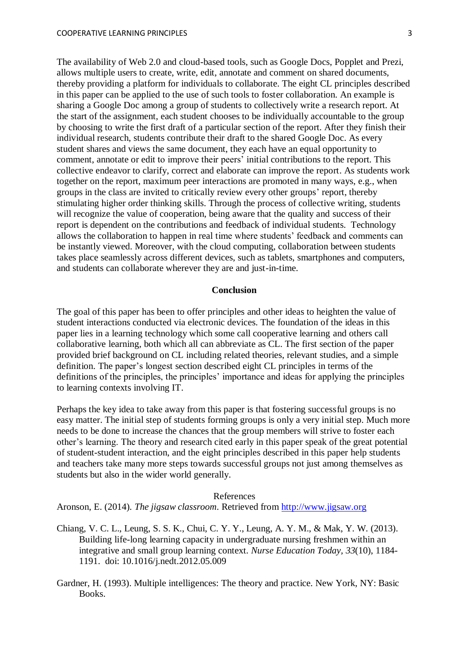The availability of Web 2.0 and cloud-based tools, such as Google Docs, Popplet and Prezi, allows multiple users to create, write, edit, annotate and comment on shared documents, thereby providing a platform for individuals to collaborate. The eight CL principles described in this paper can be applied to the use of such tools to foster collaboration. An example is sharing a Google Doc among a group of students to collectively write a research report. At the start of the assignment, each student chooses to be individually accountable to the group by choosing to write the first draft of a particular section of the report. After they finish their individual research, students contribute their draft to the shared Google Doc. As every student shares and views the same document, they each have an equal opportunity to comment, annotate or edit to improve their peers' initial contributions to the report. This collective endeavor to clarify, correct and elaborate can improve the report. As students work together on the report, maximum peer interactions are promoted in many ways, e.g., when groups in the class are invited to critically review every other groups' report, thereby stimulating higher order thinking skills. Through the process of collective writing, students will recognize the value of cooperation, being aware that the quality and success of their report is dependent on the contributions and feedback of individual students. Technology allows the collaboration to happen in real time where students' feedback and comments can be instantly viewed. Moreover, with the cloud computing, collaboration between students takes place seamlessly across different devices, such as tablets, smartphones and computers, and students can collaborate wherever they are and just-in-time.

### **Conclusion**

The goal of this paper has been to offer principles and other ideas to heighten the value of student interactions conducted via electronic devices. The foundation of the ideas in this paper lies in a learning technology which some call cooperative learning and others call collaborative learning, both which all can abbreviate as CL. The first section of the paper provided brief background on CL including related theories, relevant studies, and a simple definition. The paper's longest section described eight CL principles in terms of the definitions of the principles, the principles' importance and ideas for applying the principles to learning contexts involving IT.

Perhaps the key idea to take away from this paper is that fostering successful groups is no easy matter. The initial step of students forming groups is only a very initial step. Much more needs to be done to increase the chances that the group members will strive to foster each other's learning. The theory and research cited early in this paper speak of the great potential of student-student interaction, and the eight principles described in this paper help students and teachers take many more steps towards successful groups not just among themselves as students but also in the wider world generally.

### References

Aronson, E. (2014). *The jigsaw classroom*. Retrieved from [http://www.jigsaw.org](http://www.jigsaw.org/)

- Chiang, V. C. L., Leung, S. S. K., Chui, C. Y. Y., Leung, A. Y. M., & Mak, Y. W. (2013). Building life-long learning capacity in undergraduate nursing freshmen within an integrative and small group learning context. *Nurse Education Today, 33*(10), 1184- 1191. doi: 10.1016/j.nedt.2012.05.009
- Gardner, H. (1993). Multiple intelligences: The theory and practice. New York, NY: Basic Books.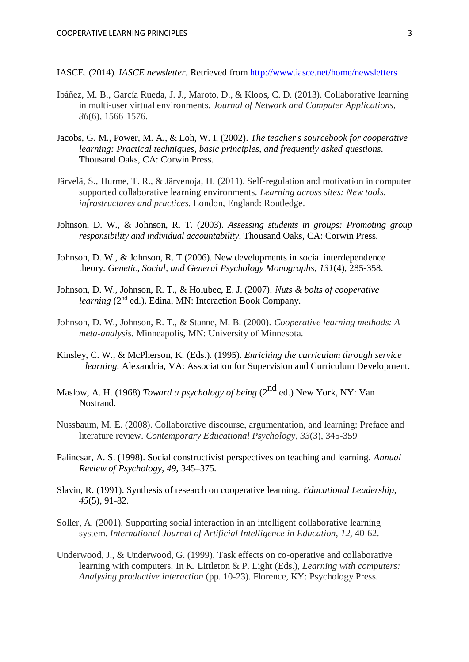IASCE. (2014). *IASCE newsletter.* Retrieved from<http://www.iasce.net/home/newsletters>

- Ibáñez, M. B., García Rueda, J. J., Maroto, D., & Kloos, C. D. (2013). Collaborative learning in multi-user virtual environments. *Journal of Network and Computer Applications*, *36*(6), 1566-1576.
- Jacobs, G. M., Power, M. A., & Loh, W. I. (2002). *The teacher's sourcebook for cooperative learning: Practical techniques, basic principles, and frequently asked questions*. Thousand Oaks, CA: Corwin Press.
- Järvelä, S., Hurme, T. R., & Järvenoja, H. (2011). Self-regulation and motivation in computer supported collaborative learning environments. *Learning across sites: New tools, infrastructures and practices.* London, England: Routledge.
- Johnson, D. W., & Johnson, R. T. (2003). *Assessing students in groups: Promoting group responsibility and individual accountability*. Thousand Oaks, CA: Corwin Press.
- Johnson, D. W., & Johnson, R. T (2006). New developments in social interdependence theory. *Genetic, Social, and General Psychology Monographs*, *131*(4), 285-358.
- Johnson, D. W., Johnson, R. T., & Holubec, E. J. (2007). *Nuts & bolts of cooperative learning* (2<sup>nd</sup> ed.). Edina, MN: Interaction Book Company.
- Johnson, D. W., Johnson, R. T., & Stanne, M. B. (2000). *Cooperative learning methods: A meta-analysis.* Minneapolis, MN: University of Minnesota.
- Kinsley, C. W., & McPherson, K. (Eds.). (1995). *Enriching the curriculum through service learning.* Alexandria, VA: Association for Supervision and Curriculum Development.
- Maslow, A. H. (1968) *Toward a psychology of being* (2nd ed.) New York, NY: Van Nostrand.
- Nussbaum, M. E. (2008). Collaborative discourse, argumentation, and learning: Preface and literature review. *Contemporary Educational Psychology*, *33*(3), 345-359
- Palincsar, A. S. (1998). Social constructivist perspectives on teaching and learning. *Annual Review of Psychology, 49,* 345–375.
- Slavin, R. (1991). Synthesis of research on cooperative learning. *Educational Leadership, 45*(5), 91-82.
- Soller, A. (2001). Supporting social interaction in an intelligent collaborative learning system. *International Journal of Artificial Intelligence in Education*, *12*, 40-62.
- Underwood, J., & Underwood, G. (1999). Task effects on co-operative and collaborative learning with computers. In K. Littleton & P. Light (Eds.), *Learning with computers: Analysing productive interaction* (pp. 10-23). Florence, KY: Psychology Press.